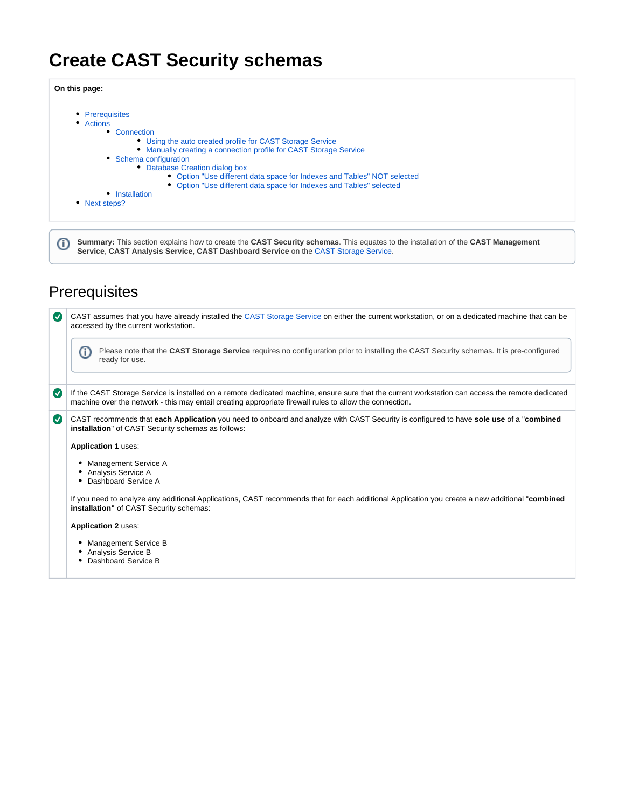# **Create CAST Security schemas**

**On this page:**

| • Prerequisites<br>• Actions |                                                                         |
|------------------------------|-------------------------------------------------------------------------|
|                              |                                                                         |
|                              | Connection                                                              |
|                              | • Using the auto created profile for CAST Storage Service               |
|                              | • Manually creating a connection profile for CAST Storage Service       |
|                              | • Schema configuration                                                  |
|                              | • Database Creation dialog box                                          |
|                              | • Option "Use different data space for Indexes and Tables" NOT selected |
|                              | • Option "Use different data space for Indexes and Tables" selected     |
|                              | <b>Installation</b>                                                     |
| Next steps?                  |                                                                         |

0 **Summary:** This section explains how to create the **CAST Security schemas**. This equates to the installation of the **CAST Management Service**, **CAST Analysis Service**, **CAST Dashboard Service** on the [CAST Storage Service.](https://doc.castsoftware.com/display/DOCCOM/CAST+Storage+Service)

## <span id="page-0-0"></span>**Prerequisites**

| $\overline{\mathsf{v}}$ | CAST assumes that you have already installed the CAST Storage Service on either the current workstation, or on a dedicated machine that can be<br>accessed by the current workstation.                                                                      |
|-------------------------|-------------------------------------------------------------------------------------------------------------------------------------------------------------------------------------------------------------------------------------------------------------|
|                         | Please note that the CAST Storage Service requires no configuration prior to installing the CAST Security schemas. It is pre-configured<br>G)<br>ready for use.                                                                                             |
| $\bm{\bm{\sigma}}$      | If the CAST Storage Service is installed on a remote dedicated machine, ensure sure that the current workstation can access the remote dedicated<br>machine over the network - this may entail creating appropriate firewall rules to allow the connection. |
| $\boldsymbol{\sigma}$   | CAST recommends that each Application you need to onboard and analyze with CAST Security is configured to have sole use of a "combined<br>installation" of CAST Security schemas as follows:                                                                |
|                         | <b>Application 1 uses:</b>                                                                                                                                                                                                                                  |
|                         | Management Service A<br>Analysis Service A<br>٠<br>Dashboard Service A                                                                                                                                                                                      |
|                         | If you need to analyze any additional Applications, CAST recommends that for each additional Application you create a new additional "combined<br>installation" of CAST Security schemas:                                                                   |
|                         | <b>Application 2 uses:</b>                                                                                                                                                                                                                                  |
|                         | <b>Management Service B</b><br>Analysis Service B<br>٠<br>Dashboard Service B                                                                                                                                                                               |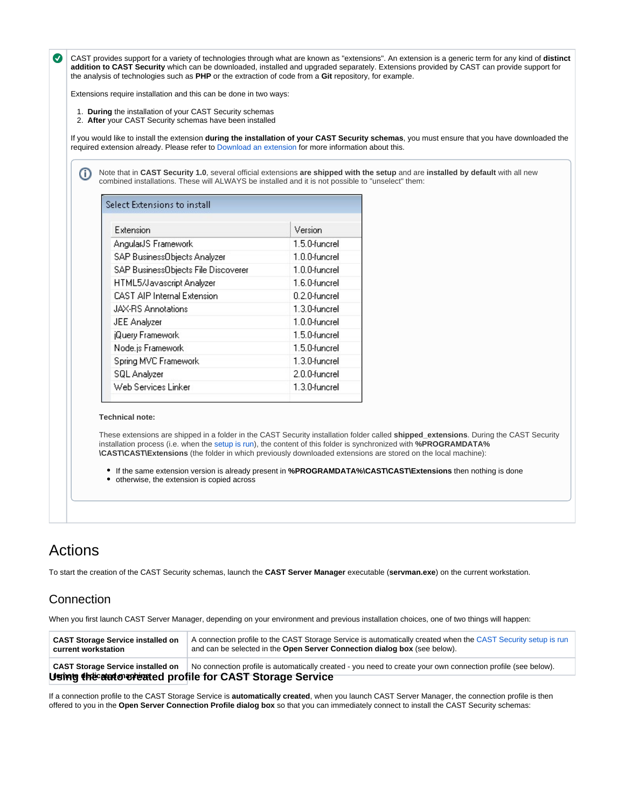CAST provides support for a variety of technologies through what are known as "extensions". An extension is a generic term for any kind of **distinct addition to CAST Security** which can be downloaded, installed and upgraded separately. Extensions provided by CAST can provide support for the analysis of technologies such as **PHP** or the extraction of code from a **Git** repository, for example.

Extensions require installation and this can be done in two ways:

- 1. **During** the installation of your CAST Security schemas
- 2. **After** your CAST Security schemas have been installed

If you would like to install the extension **during the installation of your CAST Security schemas**, you must ensure that you have downloaded the required extension already. Please refer to [Download an extension](https://doc.castsoftware.com/display/EXTEND/Download+an+extension) for more information about this.

Note that in **CAST Security 1.0**, several official extensions **are shipped with the setup** and are **installed by default** with all new O) combined installations. These will ALWAYS be installed and it is not possible to "unselect" them:

| Extension                           | Version          |
|-------------------------------------|------------------|
| AngularJS Framework                 | 1.5.0-funcrel    |
| SAP BusinessObjects Analyzer        | 1.0.0-funcrel    |
| SAP BusinessObjects File Discoverer | $1.0.0$ -funcrel |
| HTML5/Javascript Analyzer           | 1.6.0-funcrel    |
| <b>CAST AIP Internal Extension</b>  | 0.2.0-funcrel    |
| JAX-RS Annotations                  | 1.3.0-funcrel    |
| JEE Analyzer                        | 1.0.0-funcrel    |
| jQuery Framework                    | 1.5.0-funcrel    |
| Node.js Framework                   | 1.5.0-funcrel    |
| Spring MVC Framework                | 1.3.0-funcrel    |
| SQL Analyzer                        | 2.0.0-funcrel    |
| Web Services Linker                 | 1.3.0-funcrel    |

#### **Technical note:**

These extensions are shipped in a folder in the CAST Security installation folder called **shipped\_extensions**. During the CAST Security installation process (i.e. when the [setup is run\)](https://doc.castsoftware.com/display/SECURITY/Run+the+CAST+Security+setup), the content of this folder is synchronized with **%PROGRAMDATA% \CAST\CAST\Extensions** (the folder in which previously downloaded extensions are stored on the local machine):

If the same extension version is already present in **%PROGRAMDATA%\CAST\CAST\Extensions** then nothing is done

otherwise, the extension is copied across

## <span id="page-1-0"></span>Actions

To start the creation of the CAST Security schemas, launch the **CAST Server Manager** executable (**servman.exe**) on the current workstation.

## <span id="page-1-1"></span>**Connection**

When you first launch CAST Server Manager, depending on your environment and previous installation choices, one of two things will happen:

| <b>CAST Storage Service installed on</b><br>current workstation | A connection profile to the CAST Storage Service is automatically created when the CAST Security setup is run<br>and can be selected in the Open Server Connection dialog box (see below). |
|-----------------------------------------------------------------|--------------------------------------------------------------------------------------------------------------------------------------------------------------------------------------------|
| <b>CAST Storage Service installed on</b>                        | No connection profile is automatically created - you need to create your own connection profile (see below).                                                                               |
|                                                                 | Using the automore ated profile for CAST Storage Service                                                                                                                                   |

<span id="page-1-2"></span>If a connection profile to the CAST Storage Service is **automatically created**, when you launch CAST Server Manager, the connection profile is then offered to you in the **Open Server Connection Profile dialog box** so that you can immediately connect to install the CAST Security schemas: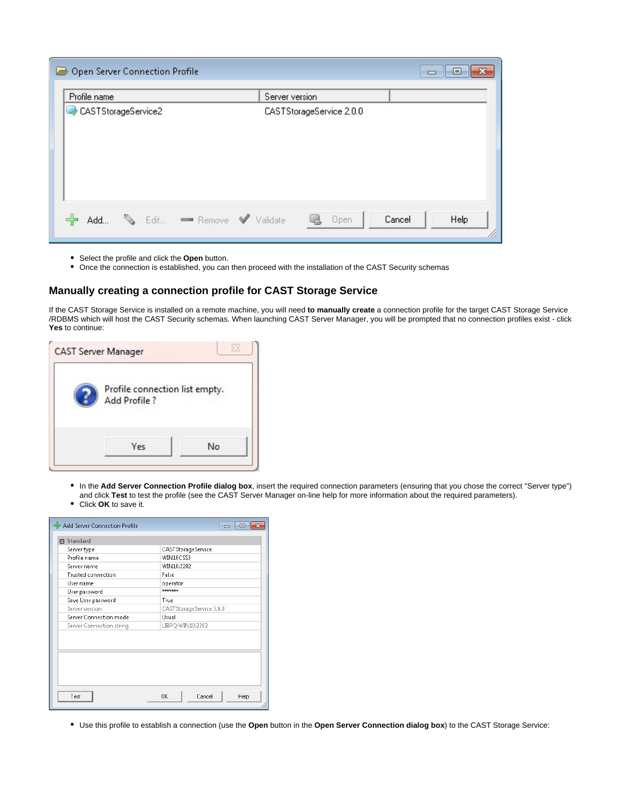|              | Open Server Connection Profile |                        |                |                          |        | $\qquad \qquad \blacksquare$ |
|--------------|--------------------------------|------------------------|----------------|--------------------------|--------|------------------------------|
| Profile name |                                |                        | Server version |                          |        |                              |
|              | CASTStorageService2            |                        |                | CASTStorageService 2.0.0 |        |                              |
|              |                                |                        |                |                          |        |                              |
|              |                                |                        |                |                          |        |                              |
|              |                                |                        |                |                          |        |                              |
|              |                                |                        |                |                          |        |                              |
| Add          | e.                             | Edit - Remove Validate |                | Open                     | Cancel | Help                         |
|              |                                |                        |                |                          |        |                              |

- Select the profile and click the **Open** button.
- Once the connection is established, you can then proceed with the installation of the CAST Security schemas

### <span id="page-2-0"></span>**Manually creating a connection profile for CAST Storage Service**

If the CAST Storage Service is installed on a remote machine, you will need **to manually create** a connection profile for the target CAST Storage Service /RDBMS which will host the CAST Security schemas. When launching CAST Server Manager, you will be prompted that no connection profiles exist - click **Yes** to continue:

| Profile connection list empty.<br><b>Add Profile?</b> |    |
|-------------------------------------------------------|----|
| Yes                                                   | No |

- In the **Add Server Connection Profile dialog box**, insert the required connection parameters (ensuring that you chose the correct "Server type") and click **Test** to test the profile (see the CAST Server Manager on-line help for more information about the required parameters).
- Click **OK** to save it.

| <b>曰 Standard</b>         |                            |
|---------------------------|----------------------------|
| Server type               | CASTStorageService         |
| Profile name              | WIN10CSS3                  |
| Server name               | WIN10:2282                 |
| <b>Trusted connection</b> | False                      |
| User name                 | operator                   |
| User password             | <b><i>Andrésinando</i></b> |
| Save User password        | True                       |
| Server version            | CASTStorageService 3.0.0   |
| Server Connection mode    | Usual                      |
| Server Connection string  | LIBPQ:WIN10:2282           |
|                           |                            |

Use this profile to establish a connection (use the **Open** button in the **Open Server Connection dialog box**) to the CAST Storage Service: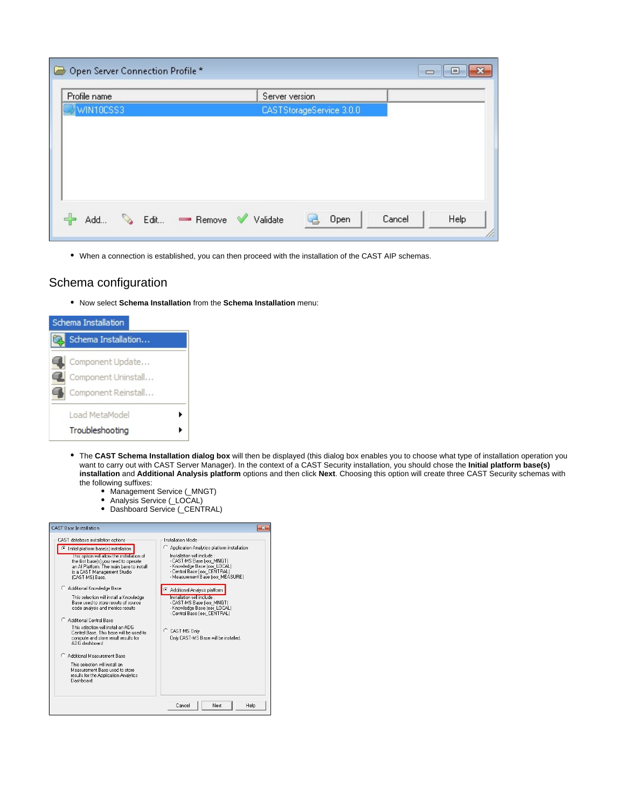| ہا | Open Server Connection Profile * |      |        |                |                          |        | U<br>$\blacksquare$ |
|----|----------------------------------|------|--------|----------------|--------------------------|--------|---------------------|
|    | Profile name                     |      |        | Server version |                          |        |                     |
|    | WIN10CSS3                        |      |        |                | CASTStorageService 3.0.0 |        |                     |
|    |                                  |      |        |                |                          |        |                     |
|    |                                  |      |        |                |                          |        |                     |
|    |                                  |      |        |                |                          |        |                     |
|    |                                  |      |        |                |                          |        |                     |
|    |                                  |      |        |                |                          |        |                     |
|    | C)<br>Add                        | Edit | Remove | Validate       | Open                     | Cancel | Help<br>U,          |

When a connection is established, you can then proceed with the installation of the CAST AIP schemas.

## <span id="page-3-0"></span>Schema configuration

Now select **Schema Installation** from the **Schema Installation** menu:

| Schema Installation |                                                                |  |  |  |
|---------------------|----------------------------------------------------------------|--|--|--|
|                     | Schema Installation                                            |  |  |  |
|                     | Component Update<br>Component Uninstall<br>Component Reinstall |  |  |  |
|                     | Load MetaModel<br>Troubleshooting                              |  |  |  |

- The **CAST Schema Installation dialog box** will then be displayed (this dialog box enables you to choose what type of installation operation you want to carry out with CAST Server Manager). In the context of a CAST Security installation, you should chose the **Initial platform base(s) installation** and **Additional Analysis platform** options and then click **Next**. Choosing this option will create three CAST Security schemas with the following suffixes:
	- Management Service (\_MNGT)
	- Analysis Service (\_LOCAL)
	- Dashboard Service (\_CENTRAL)

| CAST database installation options                                                | Installation Mode                                            |
|-----------------------------------------------------------------------------------|--------------------------------------------------------------|
| Initial platform base[s] installation                                             | ◯ Application Analytics platform installation                |
| I his option will allow the installation of                                       | Installation will include :<br>- CAST-MS Base (xxx MNGT)     |
| the first base(s) you need to operate<br>an Al Platform. The main base to install | - Knowledge Base fxxx LOCAL)                                 |
| is a CAST Management Studio                                                       | - Central Base (xxx CENTRAL)                                 |
| (CAST-MS) Base.                                                                   | - Measurement Base (xxx MEASURE)                             |
| Additional Knowledge Base                                                         | Additional Analysis platform                                 |
| This selection will install a Knowledge                                           | Installation will include                                    |
| Base used to store results of source.                                             | - CAST-MS Base (xxx MNGT)                                    |
| code analysis and metrics results                                                 | - Knowledge Base [xxx LOCAL]<br>- Central Base (xxx CENTRAL) |
| C. Additional Central Base                                                        |                                                              |
| This selection will install an ADG                                                | C CAST-MS Only                                               |
| Central Base. This hase will be used to                                           |                                                              |
| compute and store result results for<br>ADG dashboard                             | Only CAST-MS Base will be installed.                         |
|                                                                                   |                                                              |
| Additional Measurement Base                                                       |                                                              |
| This selection will install an                                                    |                                                              |
| Measurement Base used to store<br>results for the Application Analytics           |                                                              |
| Dashboard.                                                                        |                                                              |
|                                                                                   |                                                              |
|                                                                                   |                                                              |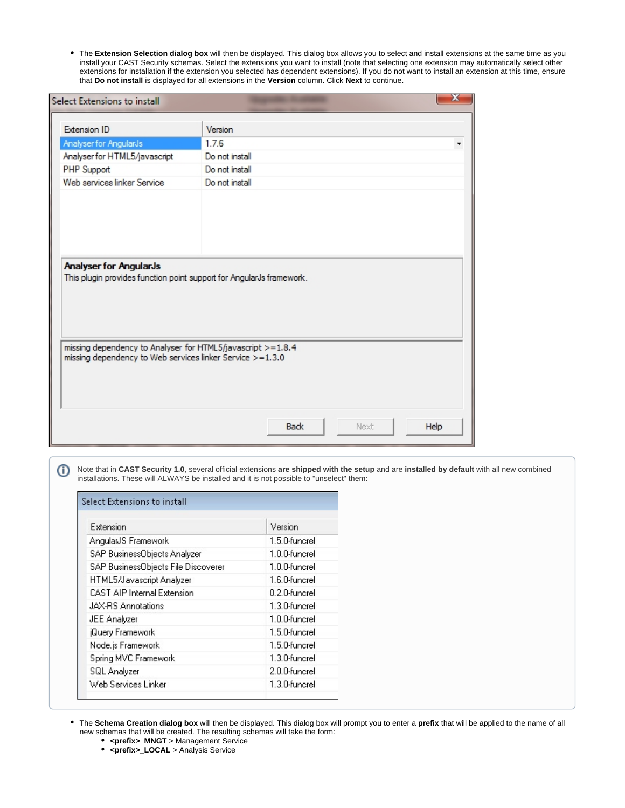The **Extension Selection dialog box** will then be displayed. This dialog box allows you to select and install extensions at the same time as you ٠ install your CAST Security schemas. Select the extensions you want to install (note that selecting one extension may automatically select other extensions for installation if the extension you selected has dependent extensions). If you do not want to install an extension at this time, ensure that **Do not install** is displayed for all extensions in the **Version** column. Click **Next** to continue.

| Select Extensions to install                                                                                             |                     |      |
|--------------------------------------------------------------------------------------------------------------------------|---------------------|------|
| Extension ID                                                                                                             | Version             |      |
| Analyser for AngularJs                                                                                                   | 1.7.6               |      |
| Analyser for HTML5/javascript                                                                                            | Do not install      |      |
| PHP Support                                                                                                              | Do not install      |      |
| Web services linker Service                                                                                              | Do not install      |      |
| <b>Analyser for AngularJs</b><br>This plugin provides function point support for AngularJs framework.                    |                     |      |
| missing dependency to Analyser for HTML5/javascript >=1.8.4<br>missing dependency to Web services linker Service >=1.3.0 |                     |      |
|                                                                                                                          | <b>Back</b><br>Next | Help |

Note that in **CAST Security 1.0**, several official extensions **are shipped with the setup** and are **installed by default** with all new combined installations. These will ALWAYS be installed and it is not possible to "unselect" them:

| Extension                           | Version       |
|-------------------------------------|---------------|
| AngularJS Framework                 | 1.5.0-funcrel |
| SAP BusinessObjects Analyzer        | 1.0.0-funcrel |
| SAP BusinessObjects File Discoverer | 1.0.0-funcrel |
| HTML5/Javascript Analyzer           | 1.6.0-funcrel |
| <b>CAST AIP Internal Extension</b>  | 0.2.0-funcrel |
| JAX-RS Annotations                  | 1.3.0-funcrel |
| JEE Analyzer                        | 1.0.0-funcrel |
| <b>Query Framework</b>              | 1.5.0-funcrel |
| Node.js Framework                   | 1.5.0-funcrel |
| Spring MVC Framework                | 1.3.0-funcrel |
| SQL Analyzer                        | 2.0.0-funcrel |
| Web Services Linker                 | 1.3.0-funcrel |

The **Schema Creation dialog box** will then be displayed. This dialog box will prompt you to enter a **prefix** that will be applied to the name of all new schemas that will be created. The resulting schemas will take the form:

- **•** <prefix>\_MNGT > Management Service
- **<prefix>\_LOCAL** > Analysis Service

⊙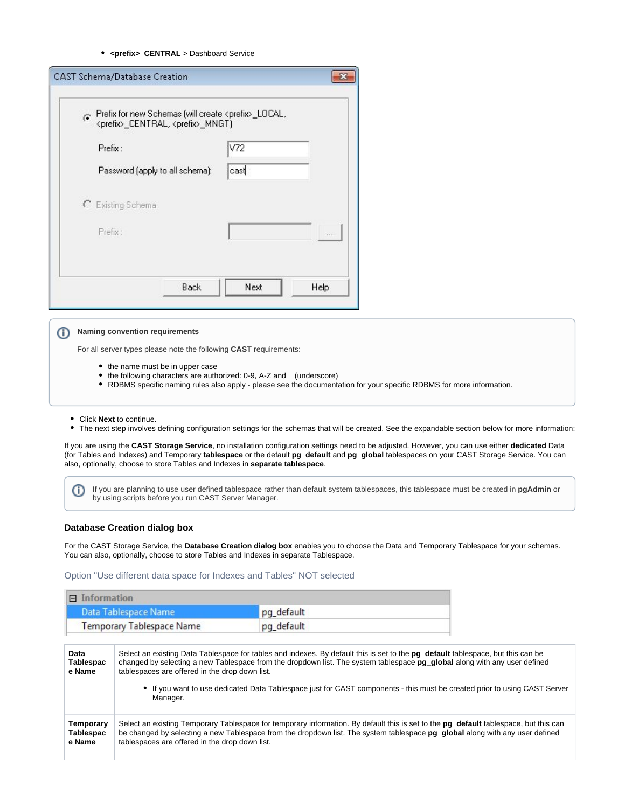#### **<prefix>\_CENTRAL** > Dashboard Service

| Ġ.                              | Prefix for new Schemas (will create <prefix>_LOCAL,<br/><prefix>_CENTRAL, <prefix>_MNGT)</prefix></prefix></prefix> |  |  |
|---------------------------------|---------------------------------------------------------------------------------------------------------------------|--|--|
| Prefix:                         | V72                                                                                                                 |  |  |
| Password (apply to all schema): | cast                                                                                                                |  |  |
| C Existing Schema               |                                                                                                                     |  |  |
| Prefix:                         |                                                                                                                     |  |  |
|                                 |                                                                                                                     |  |  |

#### **Naming convention requirements** ന

For all server types please note the following **CAST** requirements:

- the name must be in upper case
- the following characters are authorized: 0-9, A-Z and **\_** (underscore)
- RDBMS specific naming rules also apply please see the documentation for your specific RDBMS for more information.
- Click **Next** to continue.
- The next step involves defining configuration settings for the schemas that will be created. See the expandable section below for more information:

If you are using the **CAST Storage Service**, no installation configuration settings need to be adjusted. However, you can use either **dedicated** Data (for Tables and Indexes) and Temporary **tablespace** or the default **pg\_default** and **pg\_global** tablespaces on your CAST Storage Service. You can also, optionally, choose to store Tables and Indexes in **separate tablespace**.

If you are planning to use user defined tablespace rather than default system tablespaces, this tablespace must be created in **pgAdmin** or O) by using scripts before you run CAST Server Manager.

#### <span id="page-5-0"></span>**Database Creation dialog box**

For the CAST Storage Service, the **Database Creation dialog box** enables you to choose the Data and Temporary Tablespace for your schemas. You can also, optionally, choose to store Tables and Indexes in separate Tablespace.

<span id="page-5-1"></span>Option "Use different data space for Indexes and Tables" NOT selected

| Information<br>$\Box$                   |                                                            |            |                                                                                                                                                                                                                                                                                                                                                                                           |
|-----------------------------------------|------------------------------------------------------------|------------|-------------------------------------------------------------------------------------------------------------------------------------------------------------------------------------------------------------------------------------------------------------------------------------------------------------------------------------------------------------------------------------------|
|                                         | Data Tablespace Name                                       | pg_default |                                                                                                                                                                                                                                                                                                                                                                                           |
| <b>Temporary Tablespace Name</b>        |                                                            | pg_default |                                                                                                                                                                                                                                                                                                                                                                                           |
| Data<br><b>Tablespac</b><br>e Name      | tablespaces are offered in the drop down list.<br>Manager. |            | Select an existing Data Tablespace for tables and indexes. By default this is set to the pq default tablespace, but this can be<br>changed by selecting a new Tablespace from the dropdown list. The system tablespace pq qlobal along with any user defined<br>• If you want to use dedicated Data Tablespace just for CAST components - this must be created prior to using CAST Server |
| Temporary<br><b>Tablespac</b><br>e Name | tablespaces are offered in the drop down list.             |            | Select an existing Temporary Tablespace for temporary information. By default this is set to the <b>pg_default</b> tablespace, but this can<br>be changed by selecting a new Tablespace from the dropdown list. The system tablespace pq qlobal along with any user defined                                                                                                               |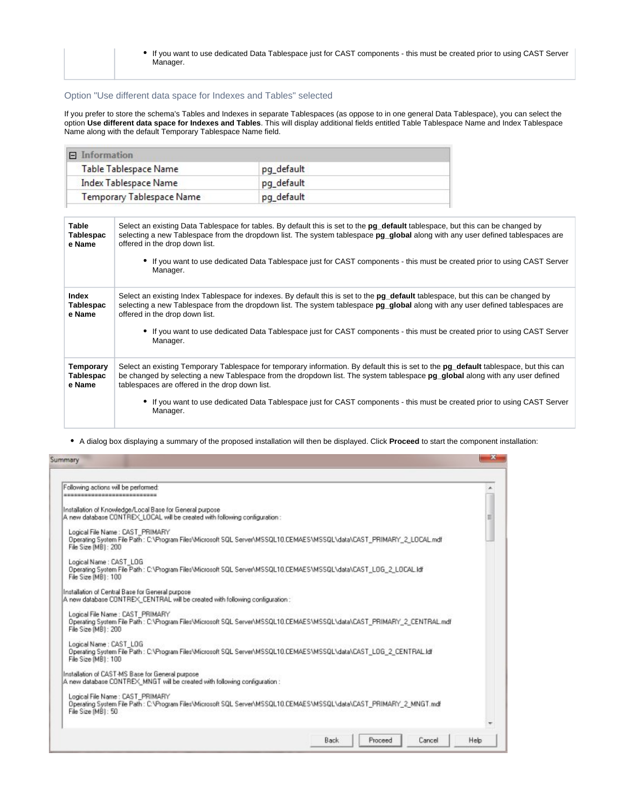If you want to use dedicated Data Tablespace just for CAST components - this must be created prior to using CAST Server Manager.

### <span id="page-6-0"></span>Option "Use different data space for Indexes and Tables" selected

If you prefer to store the schema's Tables and Indexes in separate Tablespaces (as oppose to in one general Data Tablespace), you can select the option **Use different data space for Indexes and Tables**. This will display additional fields entitled Table Tablespace Name and Index Tablespace Name along with the default Temporary Tablespace Name field.

| $\Box$ Information               |            |  |
|----------------------------------|------------|--|
| Table Tablespace Name            | pg_default |  |
| Index Tablespace Name            | pq_default |  |
| <b>Temporary Tablespace Name</b> | pg_default |  |

| <b>Table</b><br><b>Tablespac</b><br>e Name     | Select an existing Data Tablespace for tables. By default this is set to the <b>pg_default</b> tablespace, but this can be changed by<br>selecting a new Tablespace from the dropdown list. The system tablespace pg_global along with any user defined tablespaces are<br>offered in the drop down list.<br>• If you want to use dedicated Data Tablespace just for CAST components - this must be created prior to using CAST Server<br>Manager.                     |
|------------------------------------------------|------------------------------------------------------------------------------------------------------------------------------------------------------------------------------------------------------------------------------------------------------------------------------------------------------------------------------------------------------------------------------------------------------------------------------------------------------------------------|
| <b>Index</b><br><b>Tablespac</b><br>e Name     | Select an existing Index Tablespace for indexes. By default this is set to the <b>pg_default</b> tablespace, but this can be changed by<br>selecting a new Tablespace from the dropdown list. The system tablespace pg_global along with any user defined tablespaces are<br>offered in the drop down list.<br>• If you want to use dedicated Data Tablespace just for CAST components - this must be created prior to using CAST Server<br>Manager.                   |
| <b>Temporary</b><br><b>Tablespac</b><br>e Name | Select an existing Temporary Tablespace for temporary information. By default this is set to the <b>pg_default</b> tablespace, but this can<br>be changed by selecting a new Tablespace from the dropdown list. The system tablespace pq qlobal along with any user defined<br>tablespaces are offered in the drop down list.<br>• If you want to use dedicated Data Tablespace just for CAST components - this must be created prior to using CAST Server<br>Manager. |

A dialog box displaying a summary of the proposed installation will then be displayed. Click **Proceed** to start the component installation:

<span id="page-6-1"></span>

| Following actions will be performed:                   |                                                                                                                                        |  |                                                                                                                        |   |
|--------------------------------------------------------|----------------------------------------------------------------------------------------------------------------------------------------|--|------------------------------------------------------------------------------------------------------------------------|---|
| ----------------------------                           |                                                                                                                                        |  |                                                                                                                        |   |
|                                                        | Installation of Knowledge/Local Base for General purpose<br>A new database CONTREX LOCAL will be created with following configuration: |  |                                                                                                                        | Ħ |
| Logical File Name: CAST PRIMARY<br>File Size (MB): 200 |                                                                                                                                        |  | Operating System File Path: CNProgram Files/Microsoft SQL Server/MSSQL10.CEMAES/MSSQLVdata/CAST_PRIMARY_2_LOCAL.mdf    |   |
| Logical Name: CAST_LOG<br>File Size (MB): 100          | Operating System File Path: C:\Program Files\Microsoft SQL Server\MSSQL10.CEMAES\MSSQL\data\CAST_LOG_2_LOCAL.Idf                       |  |                                                                                                                        |   |
|                                                        | Installation of Central Base for General purpose<br>A new database CONTREX_CENTRAL will be created with following configuration:       |  |                                                                                                                        |   |
| Logical File Name: CAST PRIMARY<br>File Size (MB1: 200 |                                                                                                                                        |  | Operating System File Path: C.\Program Files\Microsoft SQL Server\MSSQL10.CEMAES\MSSQL\data\CAST_PRIMARY_2_CENTRAL.mdf |   |
| Logical Name: CAST LOG<br>File Size (MB): 100          |                                                                                                                                        |  | Operating System File Path : C.\Program Files\Microsoft SQL Server\MSSQL10.CEMAES\MSSQL\data\CAST_LOG_2_CENTRAL.Idf    |   |
|                                                        | Installation of CAST-MS Base for General purpose<br>A new database CONTREX MNGT will be created with following configuration :         |  |                                                                                                                        |   |
| Logical File Name: CAST PRIMARY<br>File Size (MB): 50  |                                                                                                                                        |  | Operating System File Path: C:\Program Files\Microsoft SQL Server\MSSQL10.CEMAES\MSSQL\data\CAST_PRIMARY_2_MNGT.mdf    |   |